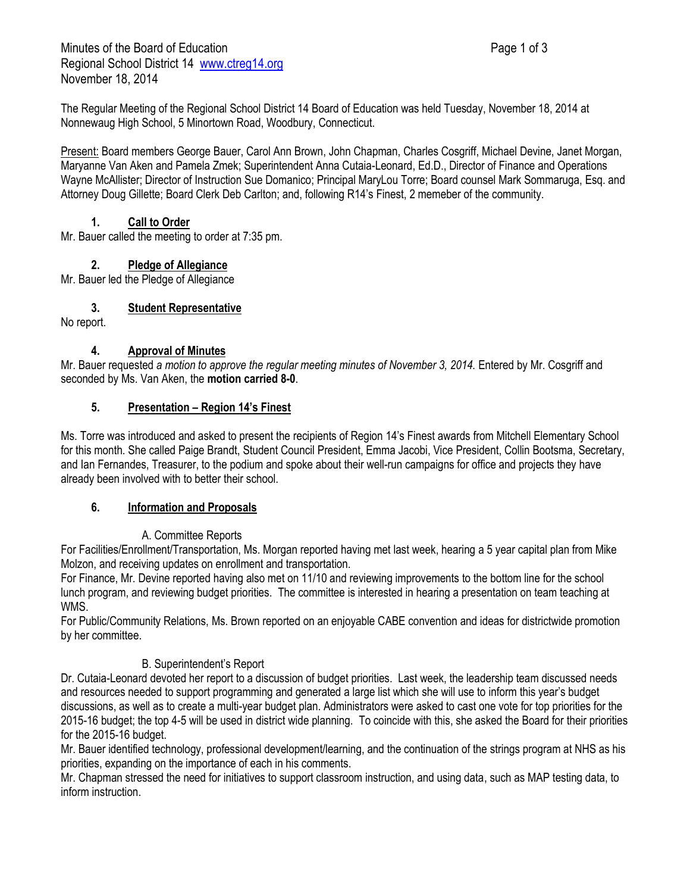The Regular Meeting of the Regional School District 14 Board of Education was held Tuesday, November 18, 2014 at Nonnewaug High School, 5 Minortown Road, Woodbury, Connecticut.

Present: Board members George Bauer, Carol Ann Brown, John Chapman, Charles Cosgriff, Michael Devine, Janet Morgan, Maryanne Van Aken and Pamela Zmek; Superintendent Anna Cutaia-Leonard, Ed.D., Director of Finance and Operations Wayne McAllister; Director of Instruction Sue Domanico; Principal MaryLou Torre; Board counsel Mark Sommaruga, Esq. and Attorney Doug Gillette; Board Clerk Deb Carlton; and, following R14's Finest, 2 memeber of the community.

### **1. Call to Order**

Mr. Bauer called the meeting to order at 7:35 pm.

# **2. Pledge of Allegiance**

Mr. Bauer led the Pledge of Allegiance

## **3. Student Representative**

No report.

### **4. Approval of Minutes**

Mr. Bauer requested a motion to approve the regular meeting minutes of November 3, 2014. Entered by Mr. Cosgriff and seconded by Ms. Van Aken, the **motion carried 8-0**.

### **5. Presentation – Region 14's Finest**

Ms. Torre was introduced and asked to present the recipients of Region 14's Finest awards from Mitchell Elementary School for this month. She called Paige Brandt, Student Council President, Emma Jacobi, Vice President, Collin Bootsma, Secretary, and Ian Fernandes, Treasurer, to the podium and spoke about their well-run campaigns for office and projects they have already been involved with to better their school.

### **6. Information and Proposals**

## A. Committee Reports

For Facilities/Enrollment/Transportation, Ms. Morgan reported having met last week, hearing a 5 year capital plan from Mike Molzon, and receiving updates on enrollment and transportation.

For Finance, Mr. Devine reported having also met on 11/10 and reviewing improvements to the bottom line for the school lunch program, and reviewing budget priorities. The committee is interested in hearing a presentation on team teaching at WMS.

For Public/Community Relations, Ms. Brown reported on an enjoyable CABE convention and ideas for districtwide promotion by her committee.

## B. Superintendent's Report

Dr. Cutaia-Leonard devoted her report to a discussion of budget priorities. Last week, the leadership team discussed needs and resources needed to support programming and generated a large list which she will use to inform this year's budget discussions, as well as to create a multi-year budget plan. Administrators were asked to cast one vote for top priorities for the 2015-16 budget; the top 4-5 will be used in district wide planning. To coincide with this, she asked the Board for their priorities for the 2015-16 budget.

Mr. Bauer identified technology, professional development/learning, and the continuation of the strings program at NHS as his priorities, expanding on the importance of each in his comments.

Mr. Chapman stressed the need for initiatives to support classroom instruction, and using data, such as MAP testing data, to inform instruction.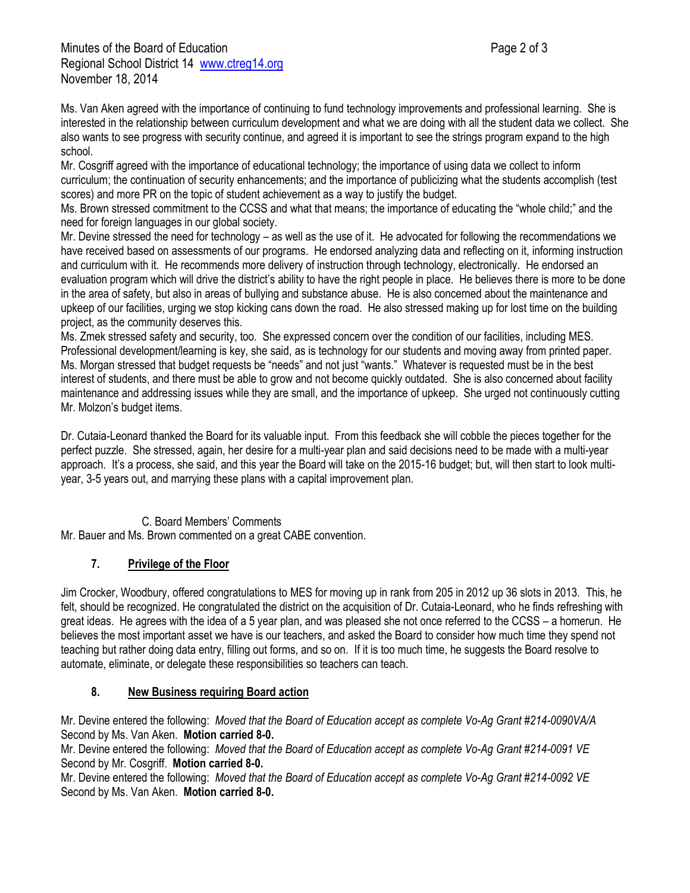Ms. Van Aken agreed with the importance of continuing to fund technology improvements and professional learning. She is interested in the relationship between curriculum development and what we are doing with all the student data we collect. She also wants to see progress with security continue, and agreed it is important to see the strings program expand to the high school.

Mr. Cosgriff agreed with the importance of educational technology; the importance of using data we collect to inform curriculum; the continuation of security enhancements; and the importance of publicizing what the students accomplish (test scores) and more PR on the topic of student achievement as a way to justify the budget.

Ms. Brown stressed commitment to the CCSS and what that means; the importance of educating the "whole child;" and the need for foreign languages in our global society.

Mr. Devine stressed the need for technology – as well as the use of it. He advocated for following the recommendations we have received based on assessments of our programs. He endorsed analyzing data and reflecting on it, informing instruction and curriculum with it. He recommends more delivery of instruction through technology, electronically. He endorsed an evaluation program which will drive the district's ability to have the right people in place. He believes there is more to be done in the area of safety, but also in areas of bullying and substance abuse. He is also concerned about the maintenance and upkeep of our facilities, urging we stop kicking cans down the road. He also stressed making up for lost time on the building project, as the community deserves this.

Ms. Zmek stressed safety and security, too. She expressed concern over the condition of our facilities, including MES. Professional development/learning is key, she said, as is technology for our students and moving away from printed paper. Ms. Morgan stressed that budget requests be "needs" and not just "wants." Whatever is requested must be in the best interest of students, and there must be able to grow and not become quickly outdated. She is also concerned about facility maintenance and addressing issues while they are small, and the importance of upkeep. She urged not continuously cutting Mr. Molzon's budget items.

Dr. Cutaia-Leonard thanked the Board for its valuable input. From this feedback she will cobble the pieces together for the perfect puzzle. She stressed, again, her desire for a multi-year plan and said decisions need to be made with a multi-year approach. It's a process, she said, and this year the Board will take on the 2015-16 budget; but, will then start to look multiyear, 3-5 years out, and marrying these plans with a capital improvement plan.

### C. Board Members' Comments

Mr. Bauer and Ms. Brown commented on a great CABE convention.

## **7. Privilege of the Floor**

Jim Crocker, Woodbury, offered congratulations to MES for moving up in rank from 205 in 2012 up 36 slots in 2013. This, he felt, should be recognized. He congratulated the district on the acquisition of Dr. Cutaia-Leonard, who he finds refreshing with great ideas. He agrees with the idea of a 5 year plan, and was pleased she not once referred to the CCSS – a homerun. He believes the most important asset we have is our teachers, and asked the Board to consider how much time they spend not teaching but rather doing data entry, filling out forms, and so on. If it is too much time, he suggests the Board resolve to automate, eliminate, or delegate these responsibilities so teachers can teach.

### **8. New Business requiring Board action**

Mr. Devine entered the following: *Moved that the Board of Education accept as complete Vo-Ag Grant #214-0090VA/A* Second by Ms. Van Aken. **Motion carried 8-0.**

Mr. Devine entered the following: *Moved that the Board of Education accept as complete Vo-Ag Grant #214-0091 VE* Second by Mr. Cosgriff. **Motion carried 8-0.**

Mr. Devine entered the following: *Moved that the Board of Education accept as complete Vo-Ag Grant #214-0092 VE* Second by Ms. Van Aken. **Motion carried 8-0.**